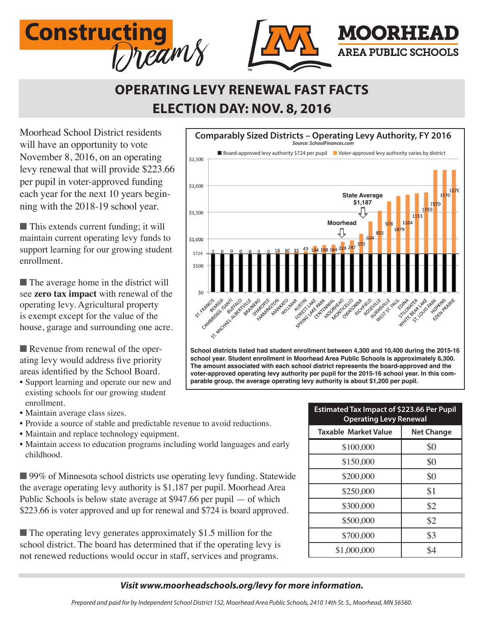

## **OPERATING LEVY RENEWAL FAST FACTS ELECTION DAY: NOV. 8, 2016**

Moorhead School District residents will have an opportunity to vote November 8, 2016, on an operating levy renewal that will provide \$223.66 per pupil in voter-approved funding each year for the next 10 years beginning with the 2018-19 school year.

 $\blacksquare$  This extends current funding; it will maintain current operating levy funds to support learning for our growing student enrollment.

 $\blacksquare$  The average home in the district will see **zero tax impact** with renewal of the operating levy. Agricultural property is exempt except for the value of the house, garage and surrounding one acre.

Revenue from renewal of the operating levy would address five priority areas identified by the School Board.

- Support learning and operate our new and existing schools for our growing student enrollment.
- Maintain average class sizes.
- Provide a source of stable and predictable revenue to avoid reductions.
- Maintain and replace technology equipment.
- Maintain access to education programs including world languages and early childhood.

■ 99% of Minnesota school districts use operating levy funding. Statewide the average operating levy authority is \$1,187 per pupil. Moorhead Area Public Schools is below state average at \$947.66 per pupil — of which \$223.66 is voter approved and up for renewal and \$724 is board approved.

 $\blacksquare$  The operating levy generates approximately \$1.5 million for the school district. The board has determined that if the operating levy is not renewed reductions would occur in staff, services and programs.



**The amount associated with each school district represents the board-approved and the voter-approved operating levy authority per pupil for the 2015-16 school year. In this comparable group, the average operating levy authority is about \$1,200 per pupil.** 

| <b>Estimated Tax Impact of \$223.66 Per Pupil</b><br><b>Operating Levy Renewal</b> |                   |
|------------------------------------------------------------------------------------|-------------------|
| Taxable Market Value                                                               | <b>Net Change</b> |
| \$100,000                                                                          | \$0               |
| \$150,000                                                                          | \$0               |
| \$200,000                                                                          | \$0               |
| \$250,000                                                                          | \$1               |
| \$300,000                                                                          | \$2               |
| \$500,000                                                                          | \$2               |
| \$700,000                                                                          | \$3               |
| \$1,000,000                                                                        | \$4               |

#### *Visit www.moorheadschools.org/levy for more information.*